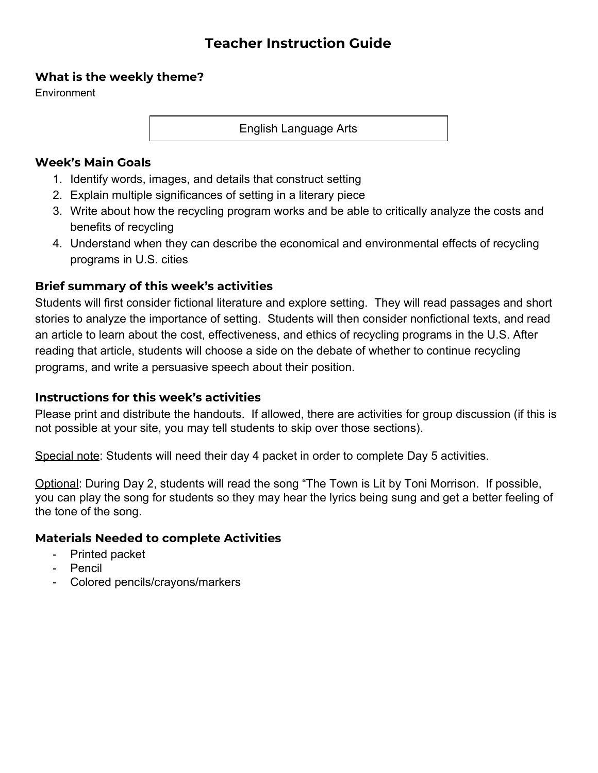# **Teacher Instruction Guide**

# **What is the weekly theme?**

**Environment** 

English Language Arts

# **Week's Main Goals**

- 1. Identify words, images, and details that construct setting
- 2. Explain multiple significances of setting in a literary piece
- 3. Write about how the recycling program works and be able to critically analyze the costs and benefits of recycling
- 4. Understand when they can describe the economical and environmental effects of recycling programs in U.S. cities

# **Brief summary of this week's activities**

Students will first consider fictional literature and explore setting. They will read passages and short stories to analyze the importance of setting. Students will then consider nonfictional texts, and read an article to learn about the cost, effectiveness, and ethics of recycling programs in the U.S. After reading that article, students will choose a side on the debate of whether to continue recycling programs, and write a persuasive speech about their position.

# **Instructions for this week's activities**

Please print and distribute the handouts. If allowed, there are activities for group discussion (if this is not possible at your site, you may tell students to skip over those sections).

Special note: Students will need their day 4 packet in order to complete Day 5 activities.

Optional: During Day 2, students will read the song "The Town is Lit by Toni Morrison. If possible, you can play the song for students so they may hear the lyrics being sung and get a better feeling of the tone of the song.

- Printed packet
- **Pencil**
- Colored pencils/crayons/markers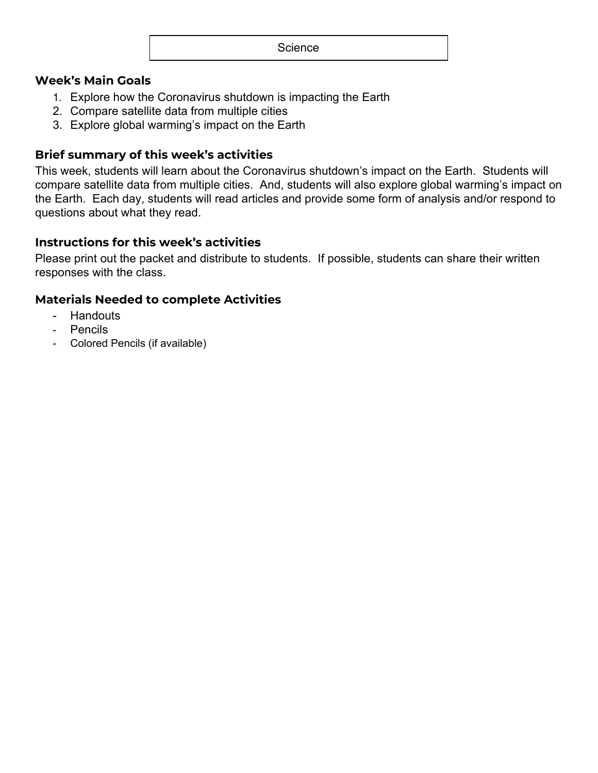# **Week's Main Goals**

- 1. Explore how the Coronavirus shutdown is impacting the Earth
- 2. Compare satellite data from multiple cities
- 3. Explore global warming's impact on the Earth

# **Brief summary of this week's activities**

This week, students will learn about the Coronavirus shutdown's impact on the Earth. Students will compare satellite data from multiple cities. And, students will also explore global warming's impact on the Earth. Each day, students will read articles and provide some form of analysis and/or respond to questions about what they read.

### **Instructions for this week's activities**

Please print out the packet and distribute to students. If possible, students can share their written responses with the class.

- Handouts
- Pencils
- Colored Pencils (if available)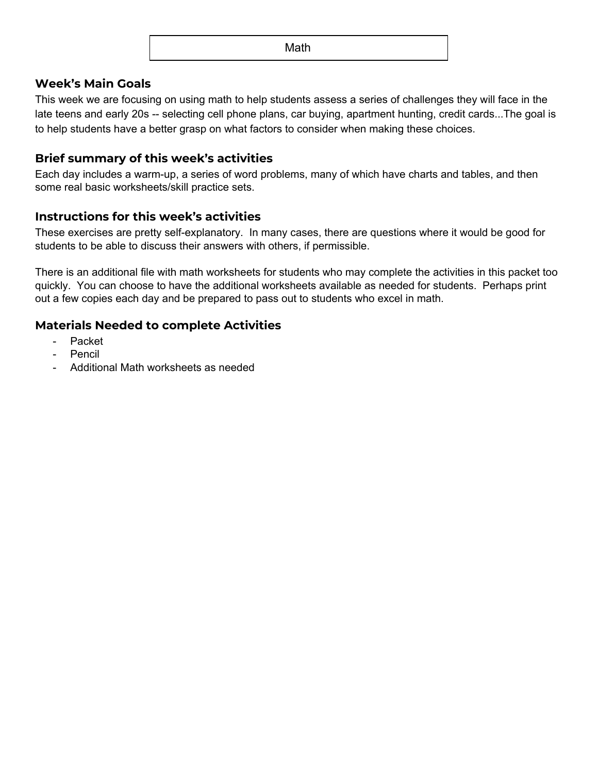#### **Week's Main Goals**

This week we are focusing on using math to help students assess a series of challenges they will face in the late teens and early 20s -- selecting cell phone plans, car buying, apartment hunting, credit cards...The goal is to help students have a better grasp on what factors to consider when making these choices.

#### **Brief summary of this week's activities**

Each day includes a warm-up, a series of word problems, many of which have charts and tables, and then some real basic worksheets/skill practice sets.

### **Instructions for this week's activities**

These exercises are pretty self-explanatory. In many cases, there are questions where it would be good for students to be able to discuss their answers with others, if permissible.

There is an additional file with math worksheets for students who may complete the activities in this packet too quickly. You can choose to have the additional worksheets available as needed for students. Perhaps print out a few copies each day and be prepared to pass out to students who excel in math.

- Packet
- Pencil
- Additional Math worksheets as needed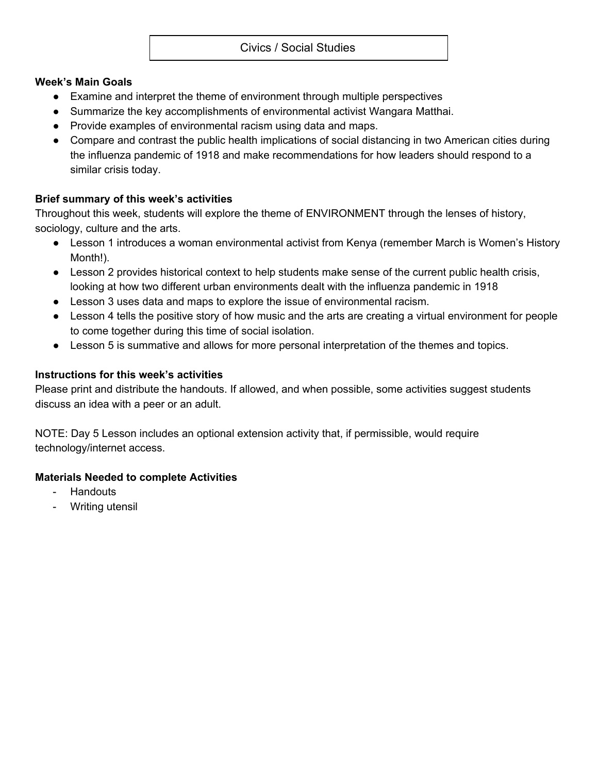### Civics / Social Studies

#### **Week's Main Goals**

- Examine and interpret the theme of environment through multiple perspectives
- Summarize the key accomplishments of environmental activist Wangara Matthai.
- Provide examples of environmental racism using data and maps.
- Compare and contrast the public health implications of social distancing in two American cities during the influenza pandemic of 1918 and make recommendations for how leaders should respond to a similar crisis today.

### **Brief summary of this week's activities**

Throughout this week, students will explore the theme of ENVIRONMENT through the lenses of history, sociology, culture and the arts.

- Lesson 1 introduces a woman environmental activist from Kenya (remember March is Women's History Month!).
- Lesson 2 provides historical context to help students make sense of the current public health crisis, looking at how two different urban environments dealt with the influenza pandemic in 1918
- Lesson 3 uses data and maps to explore the issue of environmental racism.
- Lesson 4 tells the positive story of how music and the arts are creating a virtual environment for people to come together during this time of social isolation.
- Lesson 5 is summative and allows for more personal interpretation of the themes and topics.

### **Instructions for this week's activities**

Please print and distribute the handouts. If allowed, and when possible, some activities suggest students discuss an idea with a peer or an adult.

NOTE: Day 5 Lesson includes an optional extension activity that, if permissible, would require technology/internet access.

- **Handouts**
- Writing utensil